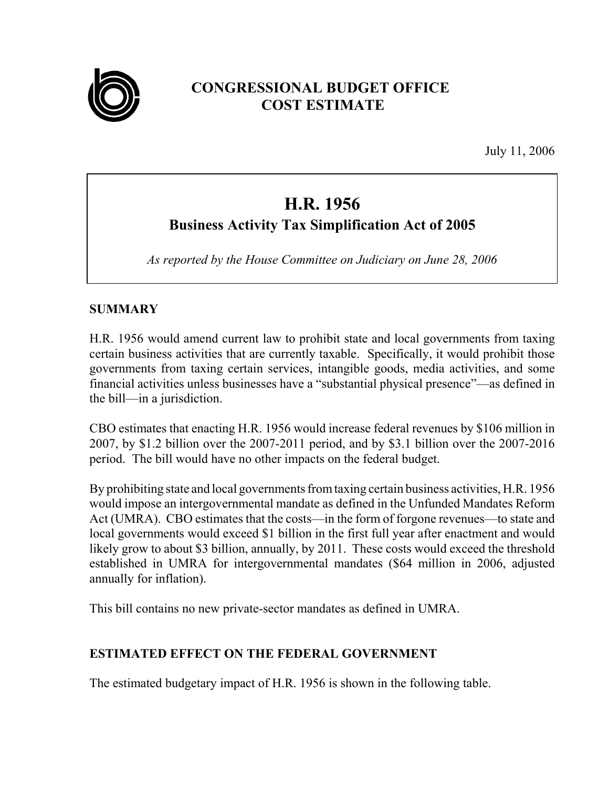

## **CONGRESSIONAL BUDGET OFFICE COST ESTIMATE**

July 11, 2006

# **H.R. 1956**

### **Business Activity Tax Simplification Act of 2005**

*As reported by the House Committee on Judiciary on June 28, 2006*

#### **SUMMARY**

H.R. 1956 would amend current law to prohibit state and local governments from taxing certain business activities that are currently taxable. Specifically, it would prohibit those governments from taxing certain services, intangible goods, media activities, and some financial activities unless businesses have a "substantial physical presence"—as defined in the bill—in a jurisdiction.

CBO estimates that enacting H.R. 1956 would increase federal revenues by \$106 million in 2007, by \$1.2 billion over the 2007-2011 period, and by \$3.1 billion over the 2007-2016 period. The bill would have no other impacts on the federal budget.

By prohibiting state and local governments fromtaxing certain business activities, H.R. 1956 would impose an intergovernmental mandate as defined in the Unfunded Mandates Reform Act (UMRA). CBO estimates that the costs—in the form of forgone revenues—to state and local governments would exceed \$1 billion in the first full year after enactment and would likely grow to about \$3 billion, annually, by 2011. These costs would exceed the threshold established in UMRA for intergovernmental mandates (\$64 million in 2006, adjusted annually for inflation).

This bill contains no new private-sector mandates as defined in UMRA.

### **ESTIMATED EFFECT ON THE FEDERAL GOVERNMENT**

The estimated budgetary impact of H.R. 1956 is shown in the following table.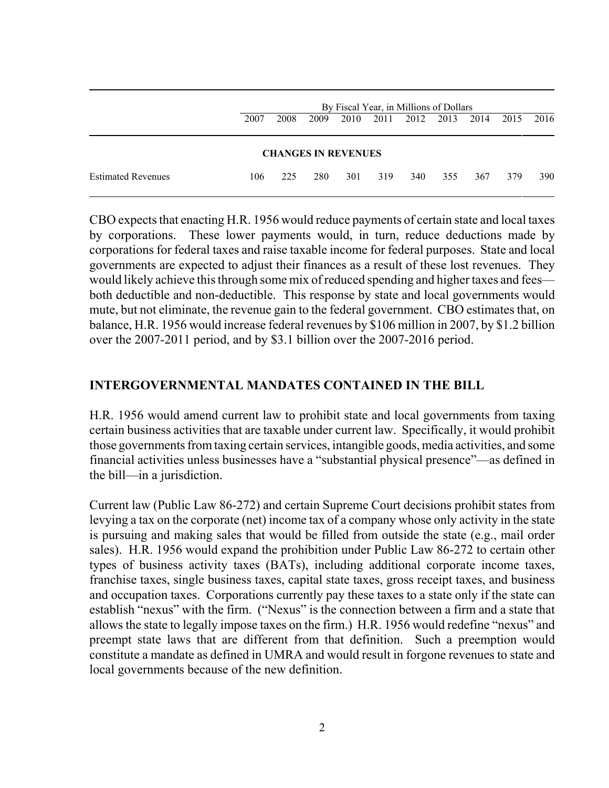|                            | By Fiscal Year, in Millions of Dollars |      |      |      |      |      |      |      |      |      |
|----------------------------|----------------------------------------|------|------|------|------|------|------|------|------|------|
|                            | 2007                                   | 2008 | 2009 | 2010 | 2011 | 2012 | 2013 | 2014 | 2015 | 2016 |
| <b>CHANGES IN REVENUES</b> |                                        |      |      |      |      |      |      |      |      |      |
| <b>Estimated Revenues</b>  | 106                                    | 225  | 280  | 301  | 319  | 340  | 355  | 367  | 379  | 390  |

CBO expects that enacting H.R. 1956 would reduce payments of certain state and local taxes by corporations. These lower payments would, in turn, reduce deductions made by corporations for federal taxes and raise taxable income for federal purposes. State and local governments are expected to adjust their finances as a result of these lost revenues. They would likely achieve this through some mix of reduced spending and higher taxes and fees both deductible and non-deductible. This response by state and local governments would mute, but not eliminate, the revenue gain to the federal government. CBO estimates that, on balance, H.R. 1956 would increase federal revenues by \$106 million in 2007, by \$1.2 billion over the 2007-2011 period, and by \$3.1 billion over the 2007-2016 period.

#### **INTERGOVERNMENTAL MANDATES CONTAINED IN THE BILL**

H.R. 1956 would amend current law to prohibit state and local governments from taxing certain business activities that are taxable under current law. Specifically, it would prohibit those governments fromtaxing certain services, intangible goods, media activities, and some financial activities unless businesses have a "substantial physical presence"—as defined in the bill—in a jurisdiction.

Current law (Public Law 86-272) and certain Supreme Court decisions prohibit states from levying a tax on the corporate (net) income tax of a company whose only activity in the state is pursuing and making sales that would be filled from outside the state (e.g., mail order sales). H.R. 1956 would expand the prohibition under Public Law 86-272 to certain other types of business activity taxes (BATs), including additional corporate income taxes, franchise taxes, single business taxes, capital state taxes, gross receipt taxes, and business and occupation taxes. Corporations currently pay these taxes to a state only if the state can establish "nexus" with the firm. ("Nexus" is the connection between a firm and a state that allows the state to legally impose taxes on the firm.) H.R. 1956 would redefine "nexus" and preempt state laws that are different from that definition. Such a preemption would constitute a mandate as defined in UMRA and would result in forgone revenues to state and local governments because of the new definition.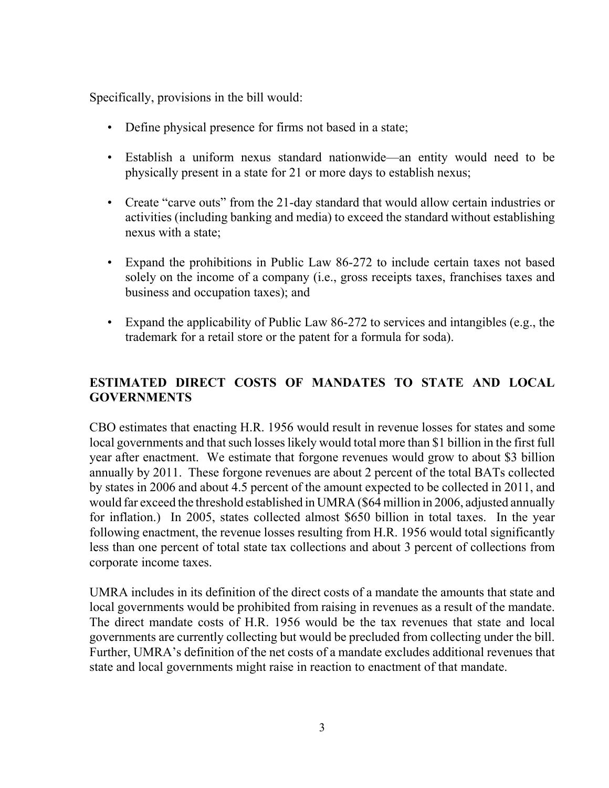Specifically, provisions in the bill would:

- Define physical presence for firms not based in a state;
- Establish a uniform nexus standard nationwide—an entity would need to be physically present in a state for 21 or more days to establish nexus;
- Create "carve outs" from the 21-day standard that would allow certain industries or activities (including banking and media) to exceed the standard without establishing nexus with a state;
- Expand the prohibitions in Public Law 86-272 to include certain taxes not based solely on the income of a company (i.e., gross receipts taxes, franchises taxes and business and occupation taxes); and
- Expand the applicability of Public Law 86-272 to services and intangibles (e.g., the trademark for a retail store or the patent for a formula for soda).

### **ESTIMATED DIRECT COSTS OF MANDATES TO STATE AND LOCAL GOVERNMENTS**

CBO estimates that enacting H.R. 1956 would result in revenue losses for states and some local governments and that such losses likely would total more than \$1 billion in the first full year after enactment. We estimate that forgone revenues would grow to about \$3 billion annually by 2011. These forgone revenues are about 2 percent of the total BATs collected by states in 2006 and about 4.5 percent of the amount expected to be collected in 2011, and would far exceed the threshold established in UMRA (\$64 million in 2006, adjusted annually for inflation.) In 2005, states collected almost \$650 billion in total taxes. In the year following enactment, the revenue losses resulting from H.R. 1956 would total significantly less than one percent of total state tax collections and about 3 percent of collections from corporate income taxes.

UMRA includes in its definition of the direct costs of a mandate the amounts that state and local governments would be prohibited from raising in revenues as a result of the mandate. The direct mandate costs of H.R. 1956 would be the tax revenues that state and local governments are currently collecting but would be precluded from collecting under the bill. Further, UMRA's definition of the net costs of a mandate excludes additional revenues that state and local governments might raise in reaction to enactment of that mandate.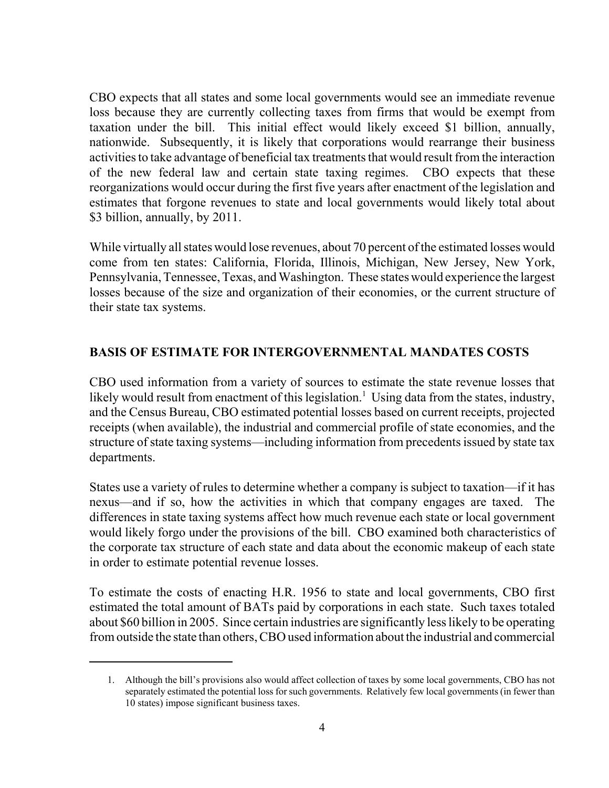CBO expects that all states and some local governments would see an immediate revenue loss because they are currently collecting taxes from firms that would be exempt from taxation under the bill. This initial effect would likely exceed \$1 billion, annually, nationwide. Subsequently, it is likely that corporations would rearrange their business activities to take advantage of beneficial tax treatments that would result from the interaction of the new federal law and certain state taxing regimes. CBO expects that these reorganizations would occur during the first five years after enactment of the legislation and estimates that forgone revenues to state and local governments would likely total about \$3 billion, annually, by 2011.

While virtually all states would lose revenues, about 70 percent of the estimated losses would come from ten states: California, Florida, Illinois, Michigan, New Jersey, New York, Pennsylvania, Tennessee, Texas, and Washington. These states would experience the largest losses because of the size and organization of their economies, or the current structure of their state tax systems.

#### **BASIS OF ESTIMATE FOR INTERGOVERNMENTAL MANDATES COSTS**

CBO used information from a variety of sources to estimate the state revenue losses that likely would result from enactment of this legislation.<sup>1</sup> Using data from the states, industry, and the Census Bureau, CBO estimated potential losses based on current receipts, projected receipts (when available), the industrial and commercial profile of state economies, and the structure of state taxing systems—including information from precedents issued by state tax departments.

States use a variety of rules to determine whether a company is subject to taxation—if it has nexus—and if so, how the activities in which that company engages are taxed. The differences in state taxing systems affect how much revenue each state or local government would likely forgo under the provisions of the bill. CBO examined both characteristics of the corporate tax structure of each state and data about the economic makeup of each state in order to estimate potential revenue losses.

To estimate the costs of enacting H.R. 1956 to state and local governments, CBO first estimated the total amount of BATs paid by corporations in each state. Such taxes totaled about \$60 billion in 2005. Since certain industries are significantly less likely to be operating from outside the state than others, CBO used information about the industrial and commercial

<sup>1.</sup> Although the bill's provisions also would affect collection of taxes by some local governments, CBO has not separately estimated the potential loss for such governments. Relatively few local governments (in fewer than 10 states) impose significant business taxes.